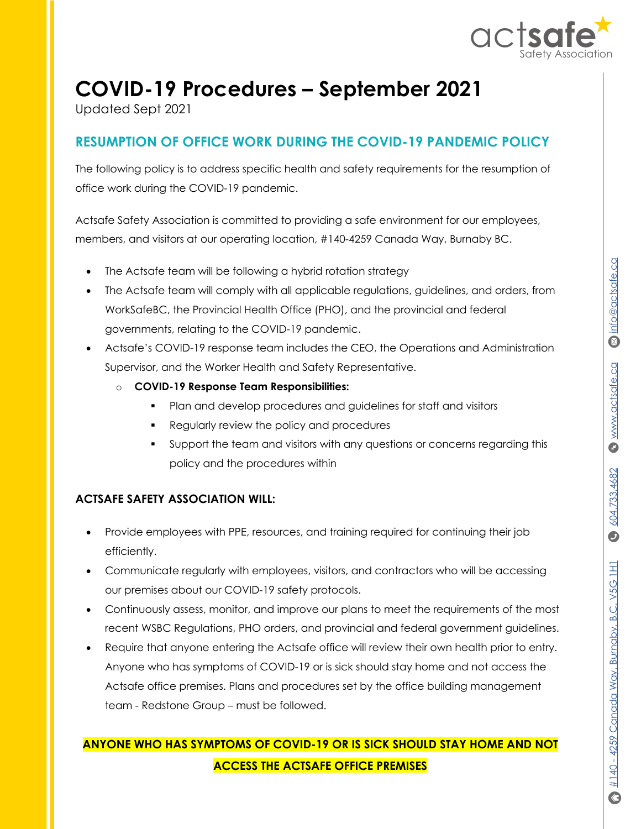

# **COVID-19 Procedures – September 2021**

Updated Sept 2021

## **RESUMPTION OF OFFICE WORK DURING THE COVID-19 PANDEMIC POLICY**

The following policy is to address specific health and safety requirements for the resumption of office work during the COVID-19 pandemic.

Actsafe Safety Association is committed to providing a safe environment for our employees, members, and visitors at our operating location, #140-4259 Canada Way, Burnaby BC.

- The Actsafe team will be following a hybrid rotation strategy
- The Actsafe team will comply with all applicable regulations, guidelines, and orders, from WorkSafeBC, the Provincial Health Office (PHO), and the provincial and federal governments, relating to the COVID-19 pandemic.
- Actsafe's COVID-19 response team includes the CEO, the Operations and Administration Supervisor, and the Worker Health and Safety Representative.
	- o **COVID-19 Response Team Responsibilities:**
		- § Plan and develop procedures and guidelines for staff and visitors
		- § Regularly review the policy and procedures
		- § Support the team and visitors with any questions or concerns regarding this policy and the procedures within

#### **ACTSAFE SAFETY ASSOCIATION WILL:**

- Provide employees with PPE, resources, and training required for continuing their job efficiently.
- Communicate regularly with employees, visitors, and contractors who will be accessing our premises about our COVID-19 safety protocols.
- Continuously assess, monitor, and improve our plans to meet the requirements of the most recent WSBC Regulations, PHO orders, and provincial and federal government guidelines.
- Require that anyone entering the Actsafe office will review their own health prior to entry. Anyone who has symptoms of COVID-19 or is sick should stay home and not access the Actsafe office premises. Plans and procedures set by the office building management team - Redstone Group – must be followed.

## **ANYONE WHO HAS SYMPTOMS OF COVID-19 OR IS SICK SHOULD STAY HOME AND NOT ACCESS THE ACTSAFE OFFICE PREMISES**